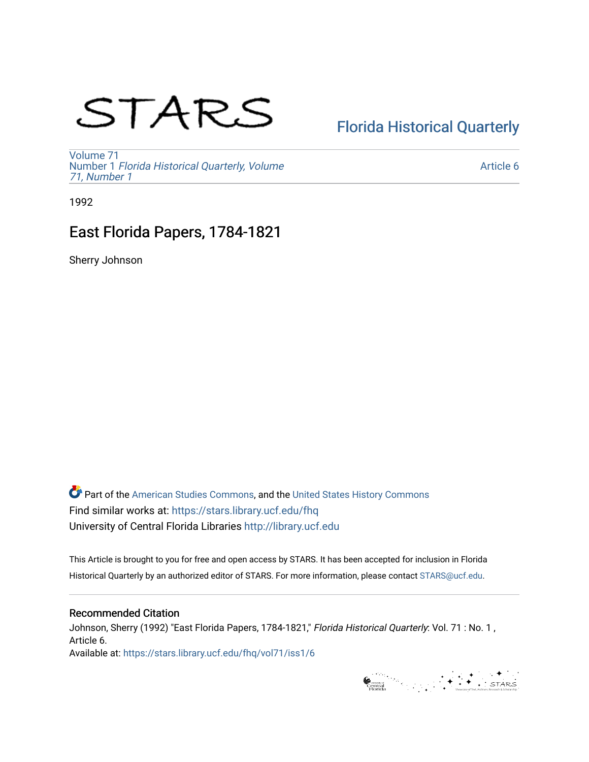# STARS

## [Florida Historical Quarterly](https://stars.library.ucf.edu/fhq)

[Volume 71](https://stars.library.ucf.edu/fhq/vol71) Number 1 [Florida Historical Quarterly, Volume](https://stars.library.ucf.edu/fhq/vol71/iss1)  [71, Number 1](https://stars.library.ucf.edu/fhq/vol71/iss1)

[Article 6](https://stars.library.ucf.edu/fhq/vol71/iss1/6) 

1992

## East Florida Papers, 1784-1821

Sherry Johnson

**C** Part of the [American Studies Commons](http://network.bepress.com/hgg/discipline/439?utm_source=stars.library.ucf.edu%2Ffhq%2Fvol71%2Fiss1%2F6&utm_medium=PDF&utm_campaign=PDFCoverPages), and the United States History Commons Find similar works at: <https://stars.library.ucf.edu/fhq> University of Central Florida Libraries [http://library.ucf.edu](http://library.ucf.edu/) 

This Article is brought to you for free and open access by STARS. It has been accepted for inclusion in Florida Historical Quarterly by an authorized editor of STARS. For more information, please contact [STARS@ucf.edu.](mailto:STARS@ucf.edu)

### Recommended Citation

Johnson, Sherry (1992) "East Florida Papers, 1784-1821," Florida Historical Quarterly: Vol. 71 : No. 1, Article 6. Available at: [https://stars.library.ucf.edu/fhq/vol71/iss1/6](https://stars.library.ucf.edu/fhq/vol71/iss1/6?utm_source=stars.library.ucf.edu%2Ffhq%2Fvol71%2Fiss1%2F6&utm_medium=PDF&utm_campaign=PDFCoverPages) 

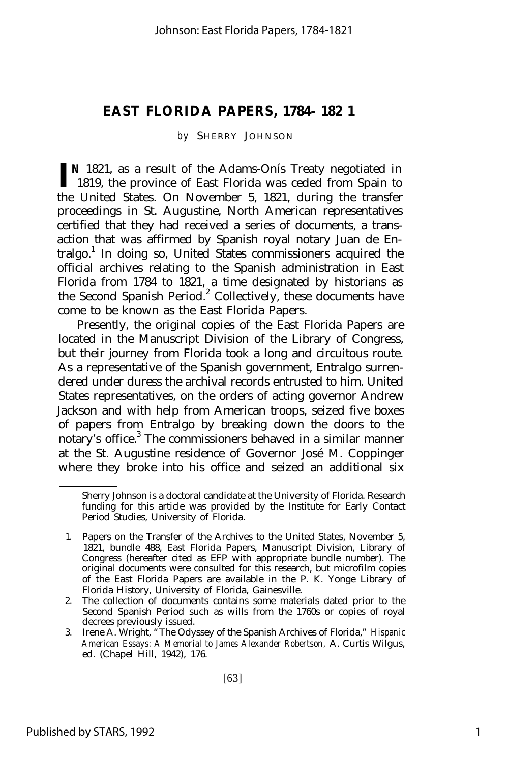#### **EAST FLORIDA PAPERS, 1784- 182 1**

#### *by* SHERRY JOHNSON

**I N** 1821, as a result of the Adams-Onís Treaty negotiated in 1819, the province of East Florida was ceded from Spain to the United States. On November 5, 1821, during the transfer proceedings in St. Augustine, North American representatives certified that they had received a series of documents, a transaction that was affirmed by Spanish royal notary Juan de Entralgo.<sup>1</sup> In doing so, United States commissioners acquired the official archives relating to the Spanish administration in East Florida from 1784 to 1821, a time designated by historians as the Second Spanish Period.<sup>2</sup> Collectively, these documents have come to be known as the East Florida Papers.

Presently, the original copies of the East Florida Papers are located in the Manuscript Division of the Library of Congress, but their journey from Florida took a long and circuitous route. As a representative of the Spanish government, Entralgo surrendered under duress the archival records entrusted to him. United States representatives, on the orders of acting governor Andrew Jackson and with help from American troops, seized five boxes of papers from Entralgo by breaking down the doors to the notary's office.<sup>3</sup> The commissioners behaved in a similar manner at the St. Augustine residence of Governor José M. Coppinger where they broke into his office and seized an additional six

Sherry Johnson is a doctoral candidate at the University of Florida. Research funding for this article was provided by the Institute for Early Contact Period Studies, University of Florida.

<sup>1.</sup> Papers on the Transfer of the Archives to the United States, November 5, 1821, bundle 488, East Florida Papers, Manuscript Division, Library of Congress (hereafter cited as EFP with appropriate bundle number). The original documents were consulted for this research, but microfilm copies of the East Florida Papers are available in the P. K. Yonge Library of Florida History, University of Florida, Gainesville.

<sup>2.</sup> The collection of documents contains some materials dated prior to the Second Spanish Period such as wills from the 1760s or copies of royal decrees previously issued.

<sup>3.</sup> Irene A. Wright, "The Odyssey of the Spanish Archives of Florida," *Hispanic American Essays: A Memorial to James Alexander Robertson,* A. Curtis Wilgus, ed. (Chapel Hill, 1942), 176.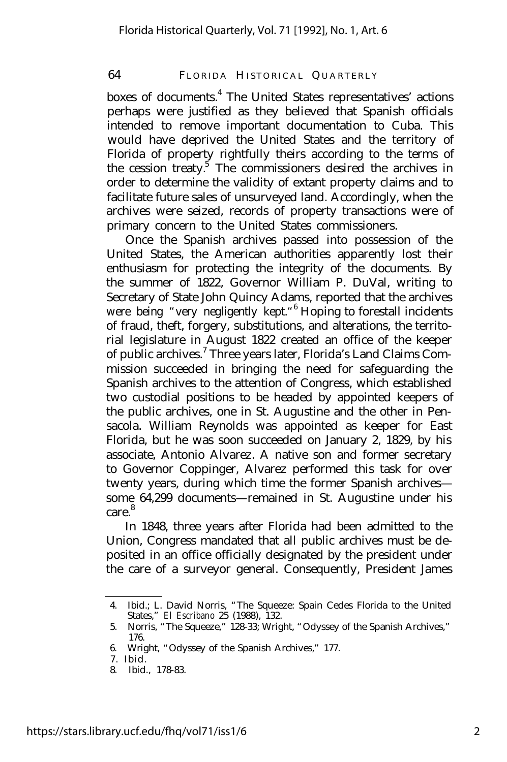#### 64 FLORIDA HISTORICAL QUARTERLY

boxes of documents.<sup>4</sup> The United States representatives' actions perhaps were justified as they believed that Spanish officials intended to remove important documentation to Cuba. This would have deprived the United States and the territory of Florida of property rightfully theirs according to the terms of the cession treaty.<sup>5</sup> The commissioners desired the archives in order to determine the validity of extant property claims and to facilitate future sales of unsurveyed land. Accordingly, when the archives were seized, records of property transactions were of primary concern to the United States commissioners.

Once the Spanish archives passed into possession of the United States, the American authorities apparently lost their enthusiasm for protecting the integrity of the documents. By the summer of 1822, Governor William P. DuVal, writing to Secretary of State John Quincy Adams, reported that the archives were being "very negligently kept."<sup>6</sup> Hoping to forestall incidents of fraud, theft, forgery, substitutions, and alterations, the territorial legislature in August 1822 created an office of the keeper of public archives.<sup>7</sup> Three years later, Florida's Land Claims Commission succeeded in bringing the need for safeguarding the Spanish archives to the attention of Congress, which established two custodial positions to be headed by appointed keepers of the public archives, one in St. Augustine and the other in Pensacola. William Reynolds was appointed as keeper for East Florida, but he was soon succeeded on January 2, 1829, by his associate, Antonio Alvarez. A native son and former secretary to Governor Coppinger, Alvarez performed this task for over twenty years, during which time the former Spanish archives some 64,299 documents— remained in St. Augustine under his care.<sup>8</sup>

In 1848, three years after Florida had been admitted to the Union, Congress mandated that all public archives must be deposited in an office officially designated by the president under the care of a surveyor general. Consequently, President James

<sup>4.</sup> Ibid.; L. David Norris, "The Squeeze: Spain Cedes Florida to the United States," *El Escribano* 25 (1988), 132.

<sup>5.</sup> Norris, "The Squeeze," 128-33; Wright, "Odyssey of the Spanish Archives," 176.

<sup>6.</sup> Wright, "Odyssey of the Spanish Archives," 177.

<sup>7.</sup> Ibid.

<sup>8.</sup> Ibid., 178-83.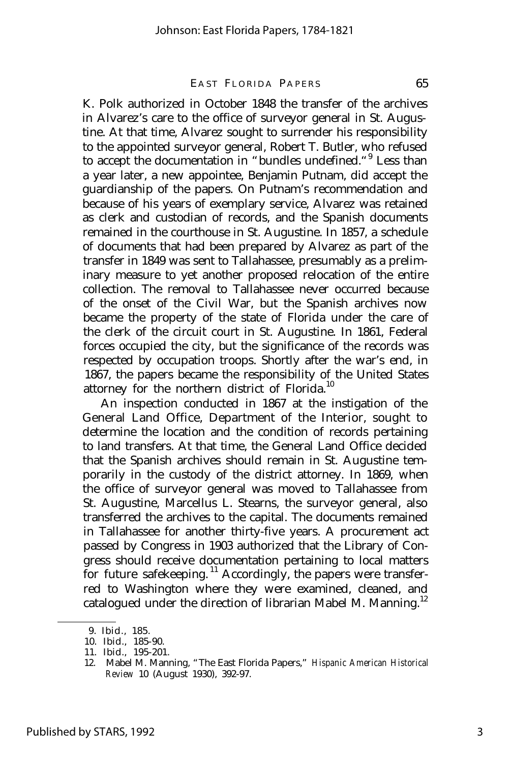#### EAST FLORIDA PAPERS 65

K. Polk authorized in October 1848 the transfer of the archives in Alvarez's care to the office of surveyor general in St. Augustine. At that time, Alvarez sought to surrender his responsibility to the appointed surveyor general, Robert T. Butler, who refused to accept the documentation in "bundles undefined. "<sup>9</sup> Less than a year later, a new appointee, Benjamin Putnam, did accept the guardianship of the papers. On Putnam's recommendation and because of his years of exemplary service, Alvarez was retained as clerk and custodian of records, and the Spanish documents remained in the courthouse in St. Augustine. In 1857, a schedule of documents that had been prepared by Alvarez as part of the transfer in 1849 was sent to Tallahassee, presumably as a preliminary measure to yet another proposed relocation of the entire collection. The removal to Tallahassee never occurred because of the onset of the Civil War, but the Spanish archives now became the property of the state of Florida under the care of the clerk of the circuit court in St. Augustine. In 1861, Federal forces occupied the city, but the significance of the records was respected by occupation troops. Shortly after the war's end, in 1867, the papers became the responsibility of the United States attorney for the northern district of Florida.<sup>10</sup>

An inspection conducted in 1867 at the instigation of the General Land Office, Department of the Interior, sought to determine the location and the condition of records pertaining to land transfers. At that time, the General Land Office decided that the Spanish archives should remain in St. Augustine temporarily in the custody of the district attorney. In 1869, when the office of surveyor general was moved to Tallahassee from St. Augustine, Marcellus L. Stearns, the surveyor general, also transferred the archives to the capital. The documents remained in Tallahassee for another thirty-five years. A procurement act passed by Congress in 1903 authorized that the Library of Congress should receive documentation pertaining to local matters for future safekeeping.<sup>11</sup> Accordingly, the papers were transferred to Washington where they were examined, cleaned, and catalogued under the direction of librarian Mabel M. Manning.<sup>12</sup>

<sup>9.</sup> Ibid., 185.

<sup>10.</sup> Ibid., 185-90.

<sup>11.</sup> Ibid., 195-201.

<sup>12.</sup> Mabel M. Manning, "The East Florida Papers," *Hispanic American Historical Review* 10 (August 1930), 392-97.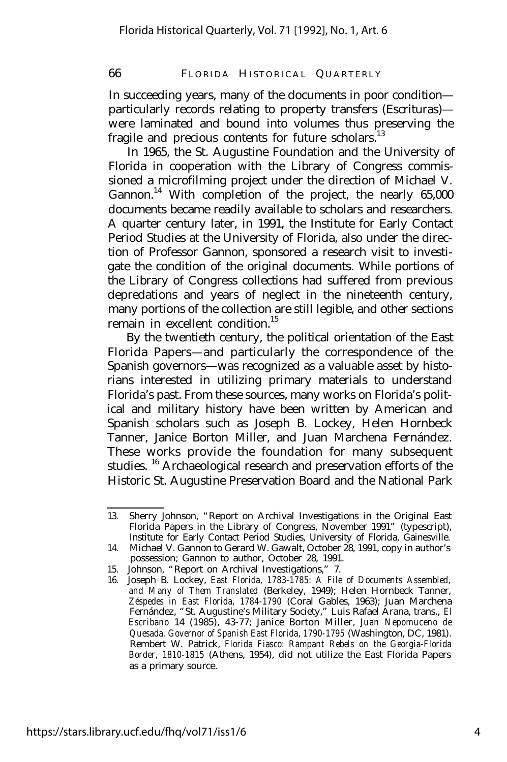66 FLORIDA HISTORICAL QUARTERLY

In succeeding years, many of the documents in poor condition particularly records relating to property transfers (Escrituras) were laminated and bound into volumes thus preserving the fragile and precious contents for future scholars.<sup>13</sup>

In 1965, the St. Augustine Foundation and the University of Florida in cooperation with the Library of Congress commissioned a microfilming project under the direction of Michael V. Gannon.<sup>14</sup> With completion of the project, the nearly  $65,000$ documents became readily available to scholars and researchers. A quarter century later, in 1991, the Institute for Early Contact Period Studies at the University of Florida, also under the direction of Professor Gannon, sponsored a research visit to investigate the condition of the original documents. While portions of the Library of Congress collections had suffered from previous depredations and years of neglect in the nineteenth century, many portions of the collection are still legible, and other sections remain in excellent condition<sup>15</sup>

By the twentieth century, the political orientation of the East Florida Papers— and particularly the correspondence of the Spanish governors— was recognized as a valuable asset by historians interested in utilizing primary materials to understand Florida's past. From these sources, many works on Florida's political and military history have been written by American and Spanish scholars such as Joseph B. Lockey, Helen Hornbeck Tanner, Janice Borton Miller, and Juan Marchena Fernández. These works provide the foundation for many subsequent studies. <sup>16</sup> Archaeological research and preservation efforts of the Historic St. Augustine Preservation Board and the National Park

<sup>13.</sup> Sherry Johnson, "Report on Archival Investigations in the Original East Florida Papers in the Library of Congress, November 1991" (typescript), Institute for Early Contact Period Studies, University of Florida, Gainesville.

<sup>14.</sup> Michael V. Gannon to Gerard W. Gawalt, October 28, 1991, copy in author's possession; Gannon to author, October 28, 1991.

<sup>15.</sup> Johnson, "Report on Archival Investigations," 7.

<sup>16.</sup> Joseph B. Lockey, *East Florida, 1783-1785: A File of Documents Assembled, and Many of Them Translated* (Berkeley, 1949); Helen Hornbeck Tanner, *Zéspedes in East Florida, 1784-1790* (Coral Gables, 1963); Juan Marchena Fernández, "St. Augustine's Military Society," Luis Rafael Arana, trans., *El Escribano* 14 (1985), 43-77; Janice Borton Miller, *Juan Nepomuceno de Quesada, Governor of Spanish East Florida, 1790-1795* (Washington, DC, 1981). Rembert W. Patrick, *Florida Fiasco: Rampant Rebels on the Georgia-Florida Border, 1810-1815* (Athens, 1954), did not utilize the East Florida Papers as a primary source.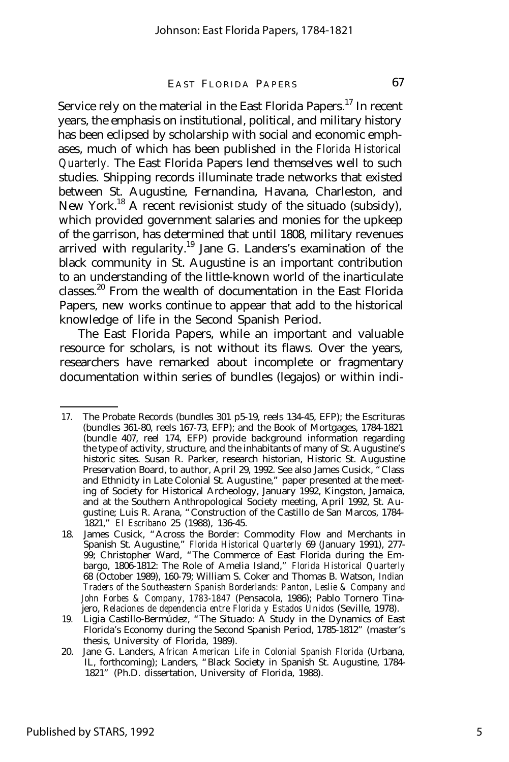#### EAST FLORIDA PAPERS 67

Service rely on the material in the East Florida Papers.<sup>17</sup> In recent years, the emphasis on institutional, political, and military history has been eclipsed by scholarship with social and economic emphases, much of which has been published in the *Florida Historical Quarterly.* The East Florida Papers lend themselves well to such studies. Shipping records illuminate trade networks that existed between St. Augustine, Fernandina, Havana, Charleston, and New York.<sup>18</sup> A recent revisionist study of the situado (subsidy), which provided government salaries and monies for the upkeep of the garrison, has determined that until 1808, military revenues arrived with regularity.<sup>19</sup> Jane G. Landers's examination of the black community in St. Augustine is an important contribution to an understanding of the little-known world of the inarticulate classes.<sup>20</sup> From the wealth of documentation in the East Florida Papers, new works continue to appear that add to the historical knowledge of life in the Second Spanish Period.

The East Florida Papers, while an important and valuable resource for scholars, is not without its flaws. Over the years, researchers have remarked about incomplete or fragmentary documentation within series of bundles (legajos) or within indi-

<sup>17.</sup> The Probate Records (bundles 301 p5-19, reels 134-45, EFP); the Escrituras (bundles 361-80, reels 167-73, EFP); and the Book of Mortgages, 1784-1821 (bundle 407, reel 174, EFP) provide background information regarding the type of activity, structure, and the inhabitants of many of St. Augustine's historic sites. Susan R. Parker, research historian, Historic St. Augustine Preservation Board, to author, April 29, 1992. See also James Cusick, "Class and Ethnicity in Late Colonial St. Augustine," paper presented at the meeting of Society for Historical Archeology, January 1992, Kingston, Jamaica, and at the Southern Anthropological Society meeting, April 1992, St. Augustine; Luis R. Arana, "Construction of the Castillo de San Marcos, 1784- 1821," *El Escribano* 25 (1988), 136-45.

<sup>18.</sup> James Cusick, "Across the Border: Commodity Flow and Merchants in Spanish St. Augustine," *Florida Historical Quarterly* 69 (January 1991), 277- 99; Christopher Ward, "The Commerce of East Florida during the Embargo, 1806-1812: The Role of Amelia Island," *Florida Historical Quarterly* 68 (October 1989), 160-79; William S. Coker and Thomas B. Watson, *Indian Traders of the Southeastern Spanish Borderlands: Panton, Leslie & Company and John Forbes & Company, 1783-1847* (Pensacola, 1986); Pablo Tornero Tinajero, *Relaciones de dependencia entre Florida y Estados Unidos* (Seville, 1978).

<sup>19.</sup> Ligia Castillo-Bermúdez, "The Situado: A Study in the Dynamics of East Florida's Economy during the Second Spanish Period, 1785-1812" (master's thesis, University of Florida, 1989).

<sup>20.</sup> Jane G. Landers, *African American Life in Colonial Spanish Florida* (Urbana, IL, forthcoming); Landers, "Black Society in Spanish St. Augustine, 1784- 1821" (Ph.D. dissertation, University of Florida, 1988).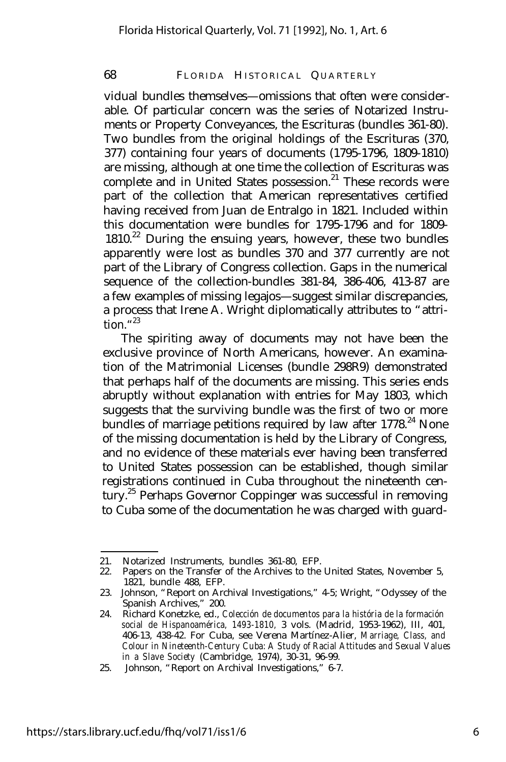#### 68 FLORIDA HISTORICAL QUARTERLY

vidual bundles themselves— omissions that often were considerable. Of particular concern was the series of Notarized Instruments or Property Conveyances, the Escrituras (bundles 361-80). Two bundles from the original holdings of the Escrituras (370, 377) containing four years of documents (1795-1796, 1809-1810) are missing, although at one time the collection of Escrituras was complete and in United States possession.<sup>21</sup> These records were part of the collection that American representatives certified having received from Juan de Entralgo in 1821. Included within this documentation were bundles for 1795-1796 and for 1809-  $1810<sup>22</sup>$  During the ensuing years, however, these two bundles apparently were lost as bundles 370 and 377 currently are not part of the Library of Congress collection. Gaps in the numerical sequence of the collection-bundles 381-84, 386-406, 413-87 are a few examples of missing legajos— suggest similar discrepancies, a process that Irene A. Wright diplomatically attributes to "attrition." 23

The spiriting away of documents may not have been the exclusive province of North Americans, however. An examination of the Matrimonial Licenses (bundle 298R9) demonstrated that perhaps half of the documents are missing. This series ends abruptly without explanation with entries for May 1803, which suggests that the surviving bundle was the first of two or more bundles of marriage petitions required by law after 1778.<sup>24</sup> None of the missing documentation is held by the Library of Congress, and no evidence of these materials ever having been transferred to United States possession can be established, though similar registrations continued in Cuba throughout the nineteenth century.<sup>25</sup> Perhaps Governor Coppinger was successful in removing to Cuba some of the documentation he was charged with guard-

<sup>21.</sup> Notarized Instruments, bundles 361-80, EFP.

<sup>22.</sup> Papers on the Transfer of the Archives to the United States, November 5, 1821, bundle 488, EFP.

<sup>23.</sup> Johnson, "Report on Archival Investigations," 4-5; Wright, "Odyssey of the Spanish Archives," 200.

<sup>24.</sup> Richard Konetzke, ed., *Colección de documentos para la história de la formación social de Hispanoamérica, 1493-1810,* 3 vols. (Madrid, 1953-1962), III, 401, 406-13, 438-42. For Cuba, see Verena Martínez-Alier, *Marriage, Class, and Colour in Nineteenth-Century Cuba: A Study of Racial Attitudes and Sexual Values in a Slave Society* (Cambridge, 1974), 30-31, 96-99.

<sup>25.</sup> Johnson, "Report on Archival Investigations," 6-7.